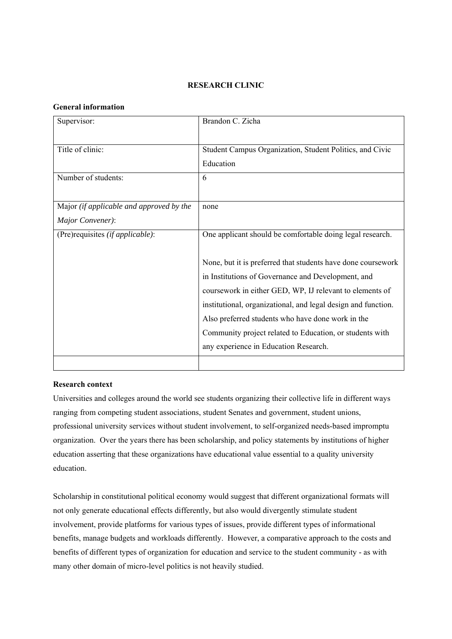## **RESEARCH CLINIC**

## **General information**

| Supervisor:                              | Brandon C. Zicha                                              |
|------------------------------------------|---------------------------------------------------------------|
|                                          |                                                               |
| Title of clinic:                         | Student Campus Organization, Student Politics, and Civic      |
|                                          | Education                                                     |
| Number of students:                      | 6                                                             |
|                                          |                                                               |
| Major (if applicable and approved by the | none                                                          |
| Major Convener):                         |                                                               |
| (Pre)requisites (if applicable):         | One applicant should be comfortable doing legal research.     |
|                                          |                                                               |
|                                          | None, but it is preferred that students have done coursework  |
|                                          | in Institutions of Governance and Development, and            |
|                                          | coursework in either GED, WP, IJ relevant to elements of      |
|                                          | institutional, organizational, and legal design and function. |
|                                          | Also preferred students who have done work in the             |
|                                          | Community project related to Education, or students with      |
|                                          | any experience in Education Research.                         |
|                                          |                                                               |

## **Research context**

Universities and colleges around the world see students organizing their collective life in different ways ranging from competing student associations, student Senates and government, student unions, professional university services without student involvement, to self-organized needs-based impromptu organization. Over the years there has been scholarship, and policy statements by institutions of higher education asserting that these organizations have educational value essential to a quality university education.

Scholarship in constitutional political economy would suggest that different organizational formats will not only generate educational effects differently, but also would divergently stimulate student involvement, provide platforms for various types of issues, provide different types of informational benefits, manage budgets and workloads differently. However, a comparative approach to the costs and benefits of different types of organization for education and service to the student community - as with many other domain of micro-level politics is not heavily studied.